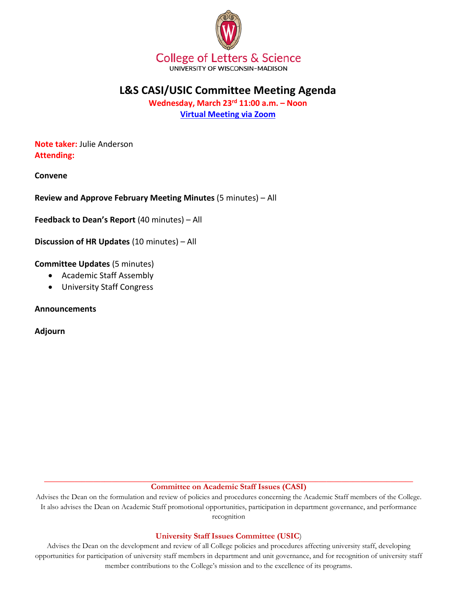

# **L&S CASI/USIC Committee Meeting Agenda**

**Wednesday, March 23rd 11:00 a.m. – Noon [Virtual Meeting via Zoom](https://uwmadison.zoom.us/j/96320546551?pwd=akFxY2JYdWFPYS9CWkRNbm5jbDZoUT09)**

**Note taker:** Julie Anderson **Attending:**

**Convene**

**Review and Approve February Meeting Minutes** (5 minutes) – All

**Feedback to Dean's Report** (40 minutes) – All

**Discussion of HR Updates** (10 minutes) – All

**Committee Updates** (5 minutes)

- Academic Staff Assembly
- University Staff Congress

**Announcements**

**Adjourn**

**\_\_\_\_\_\_\_\_\_\_\_\_\_\_\_\_\_\_\_\_\_\_\_\_\_\_\_\_\_\_\_\_\_\_\_\_\_\_\_\_\_\_\_\_\_\_\_\_\_\_\_\_\_\_\_\_\_\_\_\_\_\_\_\_\_\_\_\_\_\_\_\_\_\_\_\_\_\_\_\_\_\_\_\_\_\_\_\_\_\_\_\_\_\_\_\_\_\_ Committee on Academic Staff Issues (CASI)**

Advises the Dean on the formulation and review of policies and procedures concerning the Academic Staff members of the College. It also advises the Dean on Academic Staff promotional opportunities, participation in department governance, and performance recognition

## **University Staff Issues Committee (USIC**)

Advises the Dean on the development and review of all College policies and procedures affecting university staff, developing opportunities for participation of university staff members in department and unit governance, and for recognition of university staff member contributions to the College's mission and to the excellence of its programs.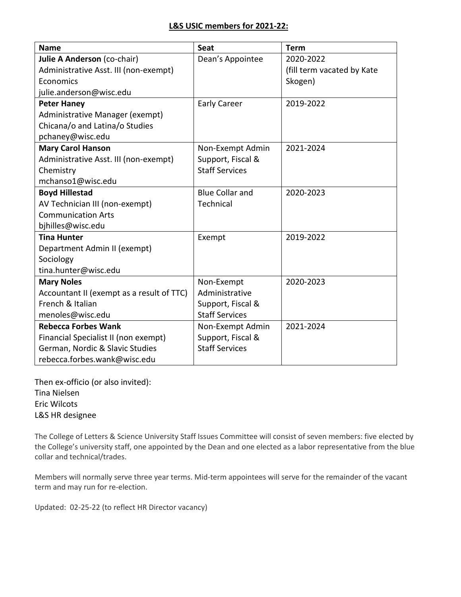| <b>Name</b>                               | Seat                   | <b>Term</b>                |
|-------------------------------------------|------------------------|----------------------------|
| Julie A Anderson (co-chair)               | Dean's Appointee       | 2020-2022                  |
| Administrative Asst. III (non-exempt)     |                        | (fill term vacated by Kate |
| Economics                                 |                        | Skogen)                    |
| julie.anderson@wisc.edu                   |                        |                            |
| <b>Peter Haney</b>                        | <b>Early Career</b>    | 2019-2022                  |
| Administrative Manager (exempt)           |                        |                            |
| Chicana/o and Latina/o Studies            |                        |                            |
| pchaney@wisc.edu                          |                        |                            |
| <b>Mary Carol Hanson</b>                  | Non-Exempt Admin       | 2021-2024                  |
| Administrative Asst. III (non-exempt)     | Support, Fiscal &      |                            |
| Chemistry                                 | <b>Staff Services</b>  |                            |
| mchanso1@wisc.edu                         |                        |                            |
| <b>Boyd Hillestad</b>                     | <b>Blue Collar and</b> | 2020-2023                  |
| AV Technician III (non-exempt)            | Technical              |                            |
| <b>Communication Arts</b>                 |                        |                            |
| bjhilles@wisc.edu                         |                        |                            |
| <b>Tina Hunter</b>                        | Exempt                 | 2019-2022                  |
| Department Admin II (exempt)              |                        |                            |
| Sociology                                 |                        |                            |
| tina.hunter@wisc.edu                      |                        |                            |
| <b>Mary Noles</b>                         | Non-Exempt             | 2020-2023                  |
| Accountant II (exempt as a result of TTC) | Administrative         |                            |
| French & Italian                          | Support, Fiscal &      |                            |
| menoles@wisc.edu                          | <b>Staff Services</b>  |                            |
| <b>Rebecca Forbes Wank</b>                | Non-Exempt Admin       | 2021-2024                  |
| Financial Specialist II (non exempt)      | Support, Fiscal &      |                            |
| German, Nordic & Slavic Studies           | <b>Staff Services</b>  |                            |
| rebecca.forbes.wank@wisc.edu              |                        |                            |

Then ex-officio (or also invited): Tina Nielsen Eric Wilcots L&S HR designee

The College of Letters & Science University Staff Issues Committee will consist of seven members: five elected by the College's university staff, one appointed by the Dean and one elected as a labor representative from the blue collar and technical/trades.

Members will normally serve three year terms. Mid-term appointees will serve for the remainder of the vacant term and may run for re-election.

Updated: 02-25-22 (to reflect HR Director vacancy)